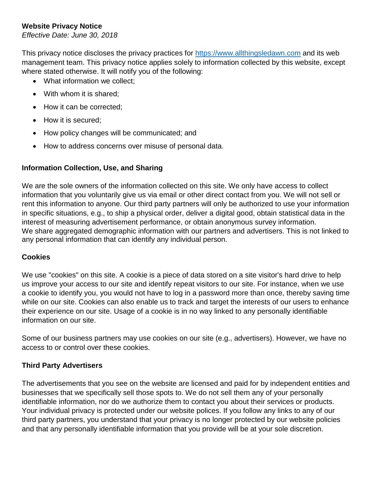# **Website Privacy Notice**

*Effective Date: June 30, 2018*

This privacy notice discloses the privacy practices for [https://www.allthingsledawn.com](https://www.allthingsledawn.com/) and its web management team. This privacy notice applies solely to information collected by this website, except where stated otherwise. It will notify you of the following:

- What information we collect:
- With whom it is shared:
- How it can be corrected;
- How it is secured:
- How policy changes will be communicated; and
- How to address concerns over misuse of personal data.

# **Information Collection, Use, and Sharing**

We are the sole owners of the information collected on this site. We only have access to collect information that you voluntarily give us via email or other direct contact from you. We will not sell or rent this information to anyone. Our third party partners will only be authorized to use your information in specific situations, e.g., to ship a physical order, deliver a digital good, obtain statistical data in the interest of measuring advertisement performance, or obtain anonymous survey information. We share aggregated demographic information with our partners and advertisers. This is not linked to any personal information that can identify any individual person.

## **Cookies**

We use "cookies" on this site. A cookie is a piece of data stored on a site visitor's hard drive to help us improve your access to our site and identify repeat visitors to our site. For instance, when we use a cookie to identify you, you would not have to log in a password more than once, thereby saving time while on our site. Cookies can also enable us to track and target the interests of our users to enhance their experience on our site. Usage of a cookie is in no way linked to any personally identifiable information on our site.

Some of our business partners may use cookies on our site (e.g., advertisers). However, we have no access to or control over these cookies.

## **Third Party Advertisers**

The advertisements that you see on the website are licensed and paid for by independent entities and businesses that we specifically sell those spots to. We do not sell them any of your personally identifiable information, nor do we authorize them to contact you about their services or products. Your individual privacy is protected under our website polices. If you follow any links to any of our third party partners, you understand that your privacy is no longer protected by our website policies and that any personally identifiable information that you provide will be at your sole discretion.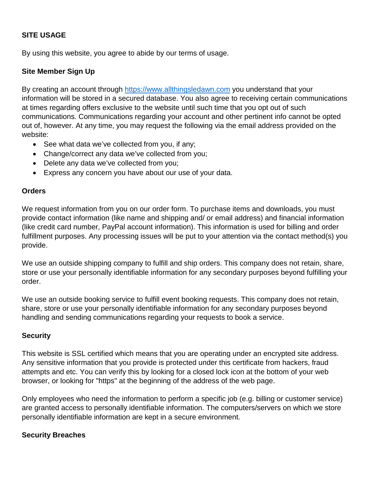## **SITE USAGE**

By using this website, you agree to abide by our terms of usage.

### **Site Member Sign Up**

By creating an account through [https://www.allthingsledawn.com](https://www.allthingsledawn.com/) you understand that your information will be stored in a secured database. You also agree to receiving certain communications at times regarding offers exclusive to the website until such time that you opt out of such communications. Communications regarding your account and other pertinent info cannot be opted out of, however. At any time, you may request the following via the email address provided on the website:

- See what data we've collected from you, if any;
- Change/correct any data we've collected from you;
- Delete any data we've collected from you;
- Express any concern you have about our use of your data.

#### **Orders**

We request information from you on our order form. To purchase items and downloads, you must provide contact information (like name and shipping and/ or email address) and financial information (like credit card number, PayPal account information). This information is used for billing and order fulfillment purposes. Any processing issues will be put to your attention via the contact method(s) you provide.

We use an outside shipping company to fulfill and ship orders. This company does not retain, share, store or use your personally identifiable information for any secondary purposes beyond fulfilling your order.

We use an outside booking service to fulfill event booking requests. This company does not retain, share, store or use your personally identifiable information for any secondary purposes beyond handling and sending communications regarding your requests to book a service.

### **Security**

This website is SSL certified which means that you are operating under an encrypted site address. Any sensitive information that you provide is protected under this certificate from hackers, fraud attempts and etc. You can verify this by looking for a closed lock icon at the bottom of your web browser, or looking for "https" at the beginning of the address of the web page.

Only employees who need the information to perform a specific job (e.g. billing or customer service) are granted access to personally identifiable information. The computers/servers on which we store personally identifiable information are kept in a secure environment.

### **Security Breaches**